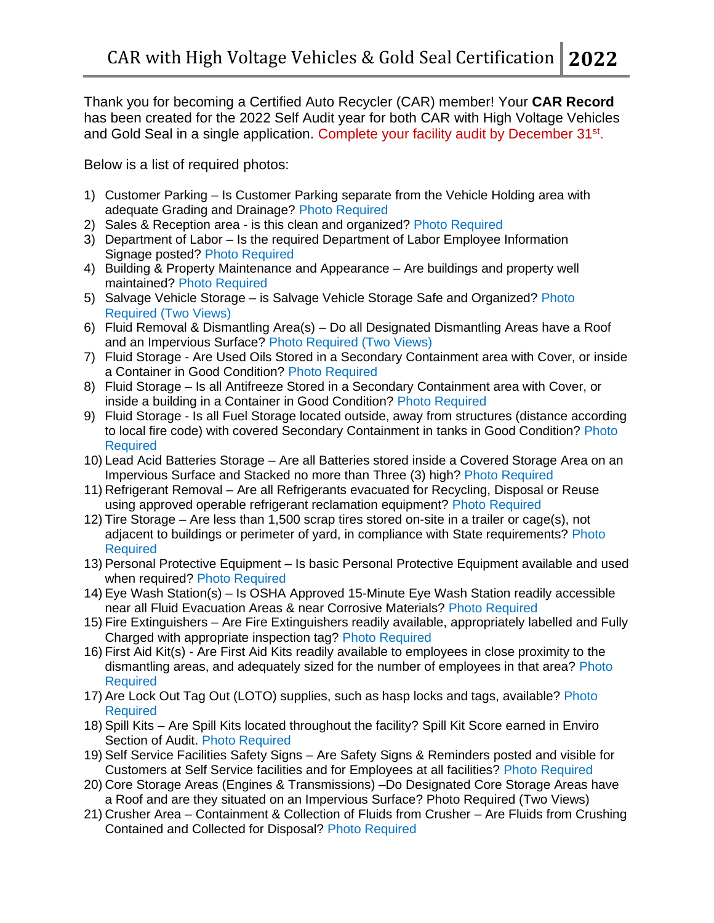Thank you for becoming a Certified Auto Recycler (CAR) member! Your **CAR Record** has been created for the 2022 Self Audit year for both CAR with High Voltage Vehicles and Gold Seal in a single application. Complete your facility audit by December 31<sup>st</sup>.

Below is a list of required photos:

- 1) Customer Parking Is Customer Parking separate from the Vehicle Holding area with adequate Grading and Drainage? Photo Required
- 2) Sales & Reception area is this clean and organized? Photo Required
- 3) Department of Labor Is the required Department of Labor Employee Information Signage posted? Photo Required
- 4) Building & Property Maintenance and Appearance Are buildings and property well maintained? Photo Required
- 5) Salvage Vehicle Storage is Salvage Vehicle Storage Safe and Organized? Photo Required (Two Views)
- 6) Fluid Removal & Dismantling Area(s) Do all Designated Dismantling Areas have a Roof and an Impervious Surface? Photo Required (Two Views)
- 7) Fluid Storage Are Used Oils Stored in a Secondary Containment area with Cover, or inside a Container in Good Condition? Photo Required
- 8) Fluid Storage Is all Antifreeze Stored in a Secondary Containment area with Cover, or inside a building in a Container in Good Condition? Photo Required
- 9) Fluid Storage Is all Fuel Storage located outside, away from structures (distance according to local fire code) with covered Secondary Containment in tanks in Good Condition? Photo **Required**
- 10) Lead Acid Batteries Storage Are all Batteries stored inside a Covered Storage Area on an Impervious Surface and Stacked no more than Three (3) high? Photo Required
- 11) Refrigerant Removal Are all Refrigerants evacuated for Recycling, Disposal or Reuse using approved operable refrigerant reclamation equipment? Photo Required
- 12) Tire Storage Are less than 1,500 scrap tires stored on-site in a trailer or cage(s), not adjacent to buildings or perimeter of yard, in compliance with State requirements? Photo **Required**
- 13) Personal Protective Equipment Is basic Personal Protective Equipment available and used when required? Photo Required
- 14) Eye Wash Station(s) Is OSHA Approved 15-Minute Eye Wash Station readily accessible near all Fluid Evacuation Areas & near Corrosive Materials? Photo Required
- 15) Fire Extinguishers Are Fire Extinguishers readily available, appropriately labelled and Fully Charged with appropriate inspection tag? Photo Required
- 16) First Aid Kit(s) Are First Aid Kits readily available to employees in close proximity to the dismantling areas, and adequately sized for the number of employees in that area? Photo Required
- 17) Are Lock Out Tag Out (LOTO) supplies, such as hasp locks and tags, available? Photo Required
- 18) Spill Kits Are Spill Kits located throughout the facility? Spill Kit Score earned in Enviro Section of Audit. Photo Required
- 19) Self Service Facilities Safety Signs Are Safety Signs & Reminders posted and visible for Customers at Self Service facilities and for Employees at all facilities? Photo Required
- 20) Core Storage Areas (Engines & Transmissions) –Do Designated Core Storage Areas have a Roof and are they situated on an Impervious Surface? Photo Required (Two Views)
- 21) Crusher Area Containment & Collection of Fluids from Crusher Are Fluids from Crushing Contained and Collected for Disposal? Photo Required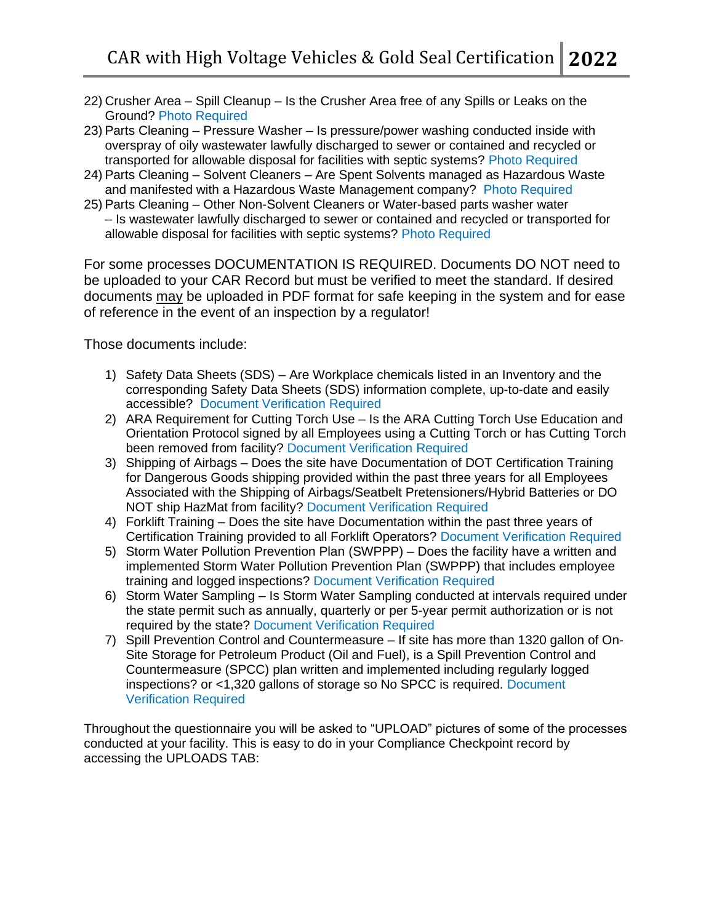- 22) Crusher Area Spill Cleanup Is the Crusher Area free of any Spills or Leaks on the Ground? Photo Required
- 23) Parts Cleaning Pressure Washer Is pressure/power washing conducted inside with overspray of oily wastewater lawfully discharged to sewer or contained and recycled or transported for allowable disposal for facilities with septic systems? Photo Required
- 24) Parts Cleaning Solvent Cleaners Are Spent Solvents managed as Hazardous Waste and manifested with a Hazardous Waste Management company? Photo Required
- 25) Parts Cleaning Other Non-Solvent Cleaners or Water-based parts washer water – Is wastewater lawfully discharged to sewer or contained and recycled or transported for allowable disposal for facilities with septic systems? Photo Required

For some processes DOCUMENTATION IS REQUIRED. Documents DO NOT need to be uploaded to your CAR Record but must be verified to meet the standard. If desired documents may be uploaded in PDF format for safe keeping in the system and for ease of reference in the event of an inspection by a regulator!

Those documents include:

- 1) Safety Data Sheets (SDS) Are Workplace chemicals listed in an Inventory and the corresponding Safety Data Sheets (SDS) information complete, up-to-date and easily accessible? Document Verification Required
- 2) ARA Requirement for Cutting Torch Use Is the ARA Cutting Torch Use Education and Orientation Protocol signed by all Employees using a Cutting Torch or has Cutting Torch been removed from facility? Document Verification Required
- 3) Shipping of Airbags Does the site have Documentation of DOT Certification Training for Dangerous Goods shipping provided within the past three years for all Employees Associated with the Shipping of Airbags/Seatbelt Pretensioners/Hybrid Batteries or DO NOT ship HazMat from facility? Document Verification Required
- 4) Forklift Training Does the site have Documentation within the past three years of Certification Training provided to all Forklift Operators? Document Verification Required
- 5) Storm Water Pollution Prevention Plan (SWPPP) Does the facility have a written and implemented Storm Water Pollution Prevention Plan (SWPPP) that includes employee training and logged inspections? Document Verification Required
- 6) Storm Water Sampling Is Storm Water Sampling conducted at intervals required under the state permit such as annually, quarterly or per 5-year permit authorization or is not required by the state? Document Verification Required
- 7) Spill Prevention Control and Countermeasure If site has more than 1320 gallon of On-Site Storage for Petroleum Product (Oil and Fuel), is a Spill Prevention Control and Countermeasure (SPCC) plan written and implemented including regularly logged inspections? or <1,320 gallons of storage so No SPCC is required. Document Verification Required

Throughout the questionnaire you will be asked to "UPLOAD" pictures of some of the processes conducted at your facility. This is easy to do in your Compliance Checkpoint record by accessing the UPLOADS TAB: